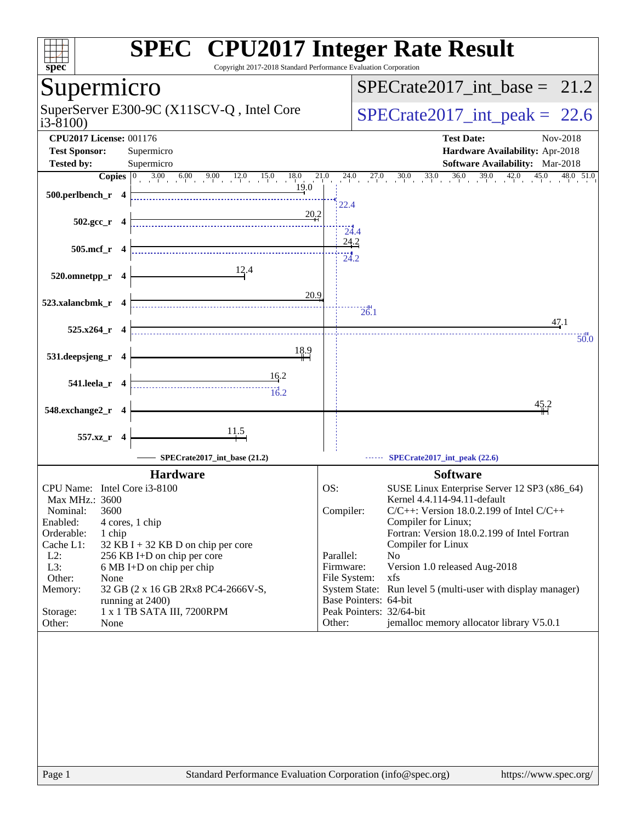| spec <sup>®</sup>                                                                                       | <b>SPEC<sup>®</sup> CPU2017 Integer Rate Result</b><br>Copyright 2017-2018 Standard Performance Evaluation Corporation |
|---------------------------------------------------------------------------------------------------------|------------------------------------------------------------------------------------------------------------------------|
| Supermicro                                                                                              | $SPECrate2017\_int\_base = 21.2$                                                                                       |
| SuperServer E300-9C (X11SCV-Q, Intel Core<br>$i3-8100$                                                  | $SPECTate2017\_int\_peak = 22.6$                                                                                       |
| <b>CPU2017 License: 001176</b><br><b>Test Sponsor:</b><br>Supermicro<br><b>Tested by:</b><br>Supermicro | <b>Test Date:</b><br>Nov-2018<br>Hardware Availability: Apr-2018<br>Software Availability: Mar-2018                    |
| <b>Copies</b> $\begin{bmatrix} 0 & 3.00 & 6.00 & 9.00 & 12.0 & 15.0 & 18.0 \end{bmatrix}$               | 21.0<br>24.0 27.0 30.0 33.0 36.0 39.0 42.0 45.0 48.0 51.0                                                              |
| 19.0<br>500.perlbench_r 4                                                                               | 22.4                                                                                                                   |
| 20.2<br>$502.\text{gcc r}$ 4                                                                            | 24.4                                                                                                                   |
| 505.mcf_r 4                                                                                             | 24.2<br>$\frac{1}{24.2}$                                                                                               |
| 12.4<br>520.omnetpp_r 4                                                                                 |                                                                                                                        |
| 20.9<br>523.xalancbmk_r 4                                                                               | 26.1                                                                                                                   |
| $525.x264$ <sub>r</sub> 4                                                                               | 47.1<br>50.0                                                                                                           |
| 18.9<br>531.deepsjeng_r 4                                                                               |                                                                                                                        |
| 16.2<br>541.leela_r 4<br>$\frac{1}{16.2}$                                                               |                                                                                                                        |
| 548.exchange2_r 4                                                                                       | 45.2                                                                                                                   |
| $\frac{11.5}{4}$<br>557.xz_r 4                                                                          |                                                                                                                        |
| SPECrate2017_int_base (21.2)                                                                            | SPECrate2017_int_peak (22.6)                                                                                           |
| <b>Hardware</b>                                                                                         | <b>Software</b>                                                                                                        |
| CPU Name: Intel Core i3-8100                                                                            | OS:<br>SUSE Linux Enterprise Server 12 SP3 (x86_64)                                                                    |
| Max MHz.: 3600                                                                                          | Kernel 4.4.114-94.11-default                                                                                           |
| 3600<br>Nominal:                                                                                        | Compiler:<br>$C/C++$ : Version 18.0.2.199 of Intel $C/C++$                                                             |
| Enabled:<br>4 cores, 1 chip<br>Orderable:<br>1 chip                                                     | Compiler for Linux;<br>Fortran: Version 18.0.2.199 of Intel Fortran                                                    |
| Cache L1:<br>$32$ KB I + 32 KB D on chip per core                                                       | Compiler for Linux                                                                                                     |
| $L2$ :<br>256 KB I+D on chip per core                                                                   | Parallel:<br>No                                                                                                        |
| L3:<br>6 MB I+D on chip per chip                                                                        | Firmware:<br>Version 1.0 released Aug-2018                                                                             |
| Other:<br>None<br>Memory:<br>32 GB (2 x 16 GB 2Rx8 PC4-2666V-S,                                         | File System:<br>xfs<br>System State: Run level 5 (multi-user with display manager)                                     |
| running at 2400)                                                                                        | Base Pointers: 64-bit                                                                                                  |
| 1 x 1 TB SATA III, 7200RPM<br>Storage:                                                                  | Peak Pointers: 32/64-bit                                                                                               |
| Other:<br>None                                                                                          | jemalloc memory allocator library V5.0.1<br>Other:                                                                     |
|                                                                                                         |                                                                                                                        |
|                                                                                                         |                                                                                                                        |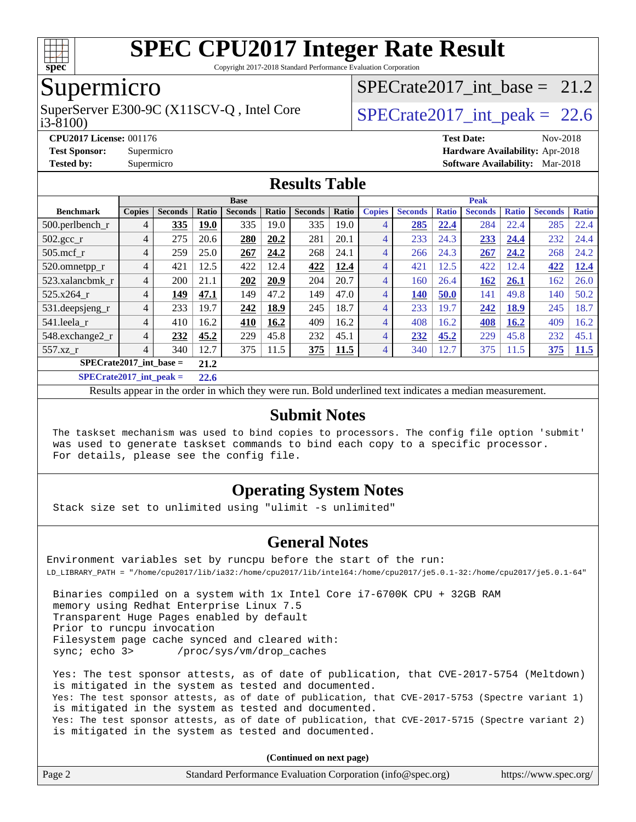

Copyright 2017-2018 Standard Performance Evaluation Corporation

## Supermicro

i3-8100) SuperServer E300-9C (X11SCV-Q, Intel Core  $\vert$  SPECrate2017 int peak = 22.6

SPECrate2017 int\_base =  $21.2$ 

**[CPU2017 License:](http://www.spec.org/auto/cpu2017/Docs/result-fields.html#CPU2017License)** 001176 **[Test Date:](http://www.spec.org/auto/cpu2017/Docs/result-fields.html#TestDate)** Nov-2018 **[Test Sponsor:](http://www.spec.org/auto/cpu2017/Docs/result-fields.html#TestSponsor)** Supermicro **[Hardware Availability:](http://www.spec.org/auto/cpu2017/Docs/result-fields.html#HardwareAvailability)** Apr-2018 **[Tested by:](http://www.spec.org/auto/cpu2017/Docs/result-fields.html#Testedby)** Supermicro **[Software Availability:](http://www.spec.org/auto/cpu2017/Docs/result-fields.html#SoftwareAvailability)** Mar-2018

#### **[Results Table](http://www.spec.org/auto/cpu2017/Docs/result-fields.html#ResultsTable)**

| <b>Base</b>                   |                |                |              |                |       | <b>Peak</b>    |             |                |                |              |                |              |                |              |
|-------------------------------|----------------|----------------|--------------|----------------|-------|----------------|-------------|----------------|----------------|--------------|----------------|--------------|----------------|--------------|
| <b>Benchmark</b>              | <b>Copies</b>  | <b>Seconds</b> | <b>Ratio</b> | <b>Seconds</b> | Ratio | <b>Seconds</b> | Ratio       | <b>Copies</b>  | <b>Seconds</b> | <b>Ratio</b> | <b>Seconds</b> | <b>Ratio</b> | <b>Seconds</b> | <b>Ratio</b> |
| 500.perlbench_r               | 4              | 335            | <b>19.0</b>  | 335            | 19.0  | 335            | 19.0        | 4              | 285            | 22.4         | 284            | 22.4         | 285            | 22.4         |
| $502.\text{gcc}$ <sub>r</sub> | 4              | 275            | 20.6         | 280            | 20.2  | 281            | 20.1        | 4              | 233            | 24.3         | 233            | 24.4         | 232            | 24.4         |
| $505$ .mcf r                  | $\overline{4}$ | 259            | 25.0         | 267            | 24.2  | 268            | 24.1        | 4              | 266            | 24.3         | 267            | 24.2         | 268            | 24.2         |
| 520.omnetpp_r                 | $\overline{4}$ | 421            | 12.5         | 422            | 12.4  | 422            | 12.4        | 4              | 421            | 12.5         | 422            | 12.4         | 422            | 12.4         |
| 523.xalancbmk r               | $\overline{4}$ | 200            | 21.1         | 202            | 20.9  | 204            | 20.7        | 4              | 160            | 26.4         | 162            | 26.1         | 162            | 26.0         |
| 525.x264 r                    | $\overline{4}$ | 149            | 47.1         | 149            | 47.2  | 149            | 47.0        | 4              | 140            | 50.0         | 141            | 49.8         | 140            | 50.2         |
| 531.deepsjeng_r               | $\overline{4}$ | 233            | 19.7         | 242            | 18.9  | 245            | 18.7        | 4              | 233            | 19.7         | 242            | 18.9         | 245            | 18.7         |
| 541.leela_r                   | $\overline{4}$ | 410            | 16.2         | 410            | 16.2  | 409            | 16.2        | 4              | 408            | 16.2         | 408            | 16.2         | 409            | 16.2         |
| 548.exchange2_r               | 4              | 232            | 45.2         | 229            | 45.8  | 232            | 45.1        | 4              | 232            | 45.2         | 229            | 45.8         | 232            | 45.1         |
| $557.xz$ _r                   | $\overline{4}$ | 340            | 12.7         | 375            | 11.5  | 375            | <b>11.5</b> | $\overline{4}$ | 340            | 12.7         | 375            | 11.5         | 375            | 11.5         |
| $SPECrate2017$ int base =     |                |                |              |                |       |                |             |                |                |              |                |              |                |              |
| $C1$ $C2$ $A3$ $A4$ $A5$ $A6$ |                |                | -- -         |                |       |                |             |                |                |              |                |              |                |              |

**[SPECrate2017\\_int\\_peak =](http://www.spec.org/auto/cpu2017/Docs/result-fields.html#SPECrate2017intpeak) 22.6**

Results appear in the [order in which they were run](http://www.spec.org/auto/cpu2017/Docs/result-fields.html#RunOrder). Bold underlined text [indicates a median measurement](http://www.spec.org/auto/cpu2017/Docs/result-fields.html#Median).

#### **[Submit Notes](http://www.spec.org/auto/cpu2017/Docs/result-fields.html#SubmitNotes)**

 The taskset mechanism was used to bind copies to processors. The config file option 'submit' was used to generate taskset commands to bind each copy to a specific processor. For details, please see the config file.

#### **[Operating System Notes](http://www.spec.org/auto/cpu2017/Docs/result-fields.html#OperatingSystemNotes)**

Stack size set to unlimited using "ulimit -s unlimited"

#### **[General Notes](http://www.spec.org/auto/cpu2017/Docs/result-fields.html#GeneralNotes)**

Environment variables set by runcpu before the start of the run: LD\_LIBRARY\_PATH = "/home/cpu2017/lib/ia32:/home/cpu2017/lib/intel64:/home/cpu2017/je5.0.1-32:/home/cpu2017/je5.0.1-64"

 Binaries compiled on a system with 1x Intel Core i7-6700K CPU + 32GB RAM memory using Redhat Enterprise Linux 7.5 Transparent Huge Pages enabled by default Prior to runcpu invocation Filesystem page cache synced and cleared with: sync; echo 3> /proc/sys/vm/drop\_caches

 Yes: The test sponsor attests, as of date of publication, that CVE-2017-5754 (Meltdown) is mitigated in the system as tested and documented. Yes: The test sponsor attests, as of date of publication, that CVE-2017-5753 (Spectre variant 1) is mitigated in the system as tested and documented. Yes: The test sponsor attests, as of date of publication, that CVE-2017-5715 (Spectre variant 2) is mitigated in the system as tested and documented.

**(Continued on next page)**

| Page 2 | Standard Performance Evaluation Corporation (info@spec.org) | https://www.spec.org/ |
|--------|-------------------------------------------------------------|-----------------------|
|--------|-------------------------------------------------------------|-----------------------|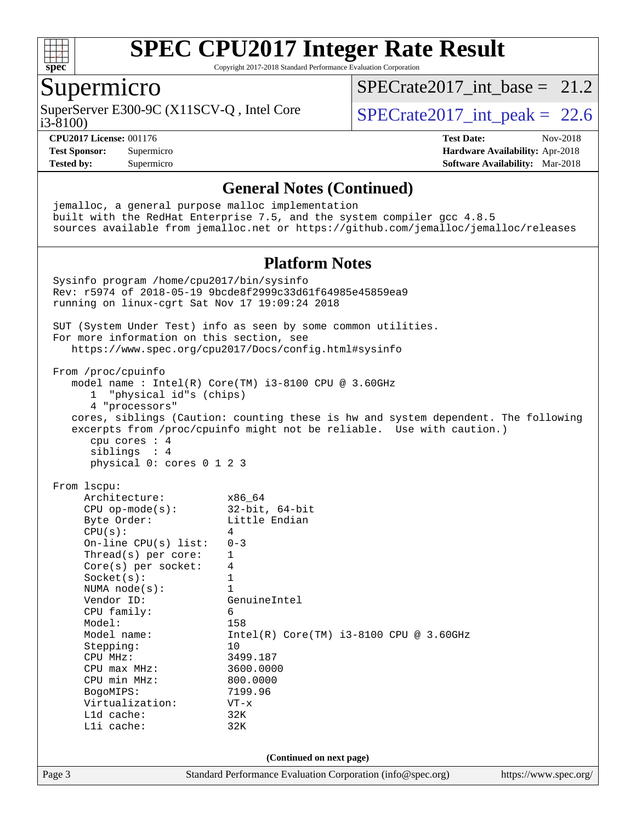

Copyright 2017-2018 Standard Performance Evaluation Corporation

#### Supermicro

i3-8100) SuperServer E300-9C (X11SCV-Q, Intel Core  $\vert$  SPECrate2017 int peak = 22.6

SPECrate2017 int\_base =  $21.2$ 

**[CPU2017 License:](http://www.spec.org/auto/cpu2017/Docs/result-fields.html#CPU2017License)** 001176 **[Test Date:](http://www.spec.org/auto/cpu2017/Docs/result-fields.html#TestDate)** Nov-2018

**[Test Sponsor:](http://www.spec.org/auto/cpu2017/Docs/result-fields.html#TestSponsor)** Supermicro **[Hardware Availability:](http://www.spec.org/auto/cpu2017/Docs/result-fields.html#HardwareAvailability)** Apr-2018 **[Tested by:](http://www.spec.org/auto/cpu2017/Docs/result-fields.html#Testedby)** Supermicro **[Software Availability:](http://www.spec.org/auto/cpu2017/Docs/result-fields.html#SoftwareAvailability)** Mar-2018

**[General Notes \(Continued\)](http://www.spec.org/auto/cpu2017/Docs/result-fields.html#GeneralNotes)** jemalloc, a general purpose malloc implementation built with the RedHat Enterprise 7.5, and the system compiler gcc 4.8.5 sources available from jemalloc.net or <https://github.com/jemalloc/jemalloc/releases> **[Platform Notes](http://www.spec.org/auto/cpu2017/Docs/result-fields.html#PlatformNotes)** Sysinfo program /home/cpu2017/bin/sysinfo Rev: r5974 of 2018-05-19 9bcde8f2999c33d61f64985e45859ea9 running on linux-cgrt Sat Nov 17 19:09:24 2018 SUT (System Under Test) info as seen by some common utilities. For more information on this section, see <https://www.spec.org/cpu2017/Docs/config.html#sysinfo> From /proc/cpuinfo model name : Intel(R) Core(TM) i3-8100 CPU @ 3.60GHz 1 "physical id"s (chips) 4 "processors" cores, siblings (Caution: counting these is hw and system dependent. The following excerpts from /proc/cpuinfo might not be reliable. Use with caution.) cpu cores : 4 siblings : 4 physical 0: cores 0 1 2 3 From lscpu: Architecture: x86\_64 CPU op-mode(s): 32-bit, 64-bit Byte Order: Little Endian  $CPU(s):$  4 On-line CPU(s) list: 0-3 Thread(s) per core: 1 Core(s) per socket: 4 Socket(s): 1 NUMA node(s): 1<br>Vendor ID: Ge GenuineIntel CPU family: 6 Model: 158 Model name: Intel(R) Core(TM) i3-8100 CPU @ 3.60GHz Stepping: 10 CPU MHz: 3499.187<br>CPU max MHz: 3600.0000 CPU max MHz: 3600.000<br>CPU min MHz: 300.0000 CPU min MHz: BogoMIPS: 7199.96 Virtualization: VT-x L1d cache: 32K L1i cache: 32K **(Continued on next page)**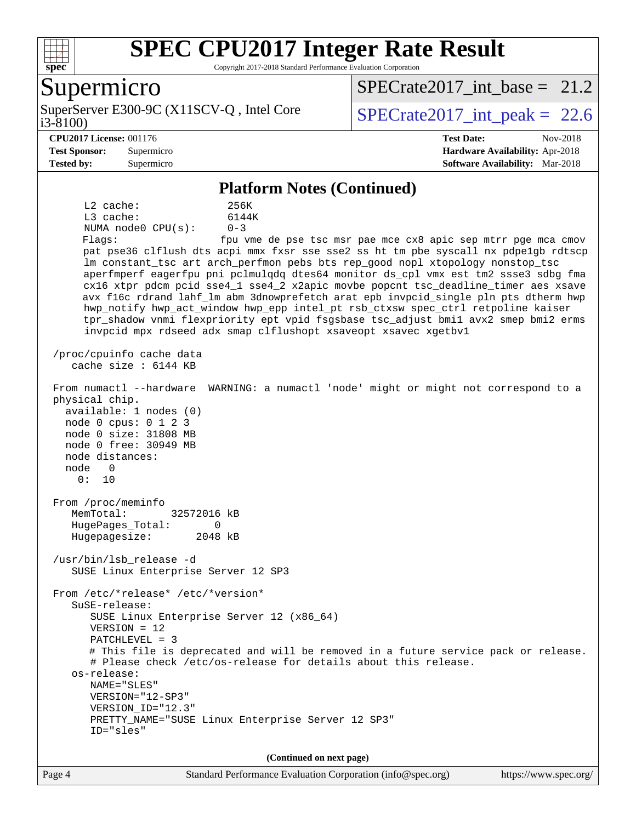

Copyright 2017-2018 Standard Performance Evaluation Corporation

### Supermicro

i3-8100) SuperServer E300-9C (X11SCV-Q, Intel Core  $\vert$  SPECrate2017 int peak = 22.6

[SPECrate2017\\_int\\_base =](http://www.spec.org/auto/cpu2017/Docs/result-fields.html#SPECrate2017intbase) 21.2

#### **[CPU2017 License:](http://www.spec.org/auto/cpu2017/Docs/result-fields.html#CPU2017License)** 001176 **[Test Date:](http://www.spec.org/auto/cpu2017/Docs/result-fields.html#TestDate)** Nov-2018

**[Test Sponsor:](http://www.spec.org/auto/cpu2017/Docs/result-fields.html#TestSponsor)** Supermicro **[Hardware Availability:](http://www.spec.org/auto/cpu2017/Docs/result-fields.html#HardwareAvailability)** Apr-2018 **[Tested by:](http://www.spec.org/auto/cpu2017/Docs/result-fields.html#Testedby)** Supermicro **[Software Availability:](http://www.spec.org/auto/cpu2017/Docs/result-fields.html#SoftwareAvailability)** Mar-2018

#### **[Platform Notes \(Continued\)](http://www.spec.org/auto/cpu2017/Docs/result-fields.html#PlatformNotes)**

 L2 cache: 256K L3 cache: 6144K NUMA node0 CPU(s): 0-3 Flags: fpu vme de pse tsc msr pae mce cx8 apic sep mtrr pge mca cmov pat pse36 clflush dts acpi mmx fxsr sse sse2 ss ht tm pbe syscall nx pdpe1gb rdtscp lm constant\_tsc art arch\_perfmon pebs bts rep\_good nopl xtopology nonstop\_tsc aperfmperf eagerfpu pni pclmulqdq dtes64 monitor ds\_cpl vmx est tm2 ssse3 sdbg fma cx16 xtpr pdcm pcid sse4\_1 sse4\_2 x2apic movbe popcnt tsc\_deadline\_timer aes xsave avx f16c rdrand lahf\_lm abm 3dnowprefetch arat epb invpcid\_single pln pts dtherm hwp hwp\_notify hwp\_act\_window hwp\_epp intel\_pt rsb\_ctxsw spec\_ctrl retpoline kaiser tpr\_shadow vnmi flexpriority ept vpid fsgsbase tsc\_adjust bmi1 avx2 smep bmi2 erms invpcid mpx rdseed adx smap clflushopt xsaveopt xsavec xgetbv1 /proc/cpuinfo cache data cache size : 6144 KB From numactl --hardware WARNING: a numactl 'node' might or might not correspond to a physical chip. available: 1 nodes (0) node 0 cpus: 0 1 2 3 node 0 size: 31808 MB node 0 free: 30949 MB node distances: node 0 0: 10 From /proc/meminfo MemTotal: 32572016 kB HugePages\_Total: 0 Hugepagesize: 2048 kB /usr/bin/lsb\_release -d SUSE Linux Enterprise Server 12 SP3 From /etc/\*release\* /etc/\*version\* SuSE-release: SUSE Linux Enterprise Server 12 (x86\_64) VERSION = 12 PATCHLEVEL = 3 # This file is deprecated and will be removed in a future service pack or release. # Please check /etc/os-release for details about this release. os-release: NAME="SLES" VERSION="12-SP3" VERSION\_ID="12.3" PRETTY\_NAME="SUSE Linux Enterprise Server 12 SP3" ID="sles" **(Continued on next page)**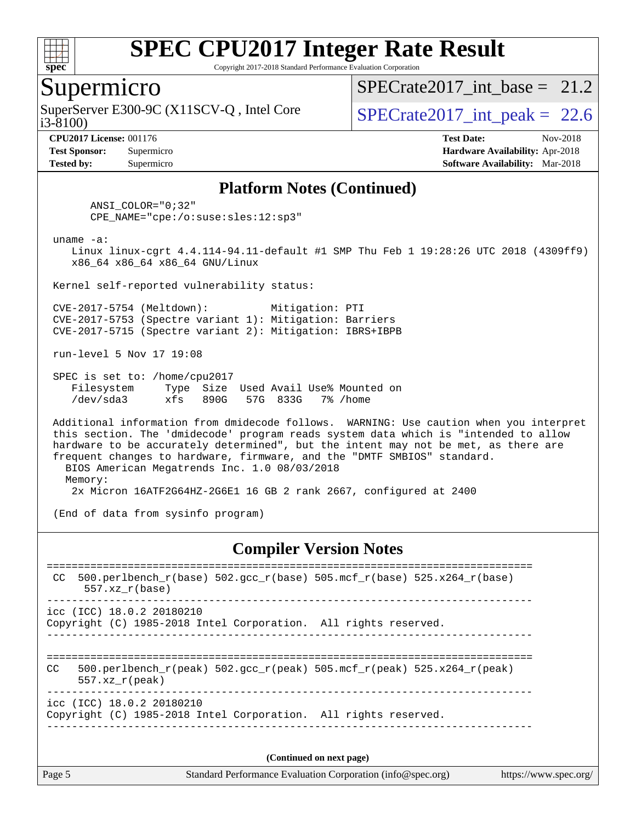

Copyright 2017-2018 Standard Performance Evaluation Corporation

#### Supermicro

i3-8100) SuperServer E300-9C (X11SCV-Q, Intel Core  $\vert$  SPECrate2017 int peak = 22.6

SPECrate2017 int\_base =  $21.2$ 

**[Tested by:](http://www.spec.org/auto/cpu2017/Docs/result-fields.html#Testedby)** Supermicro **[Software Availability:](http://www.spec.org/auto/cpu2017/Docs/result-fields.html#SoftwareAvailability)** Mar-2018

**[CPU2017 License:](http://www.spec.org/auto/cpu2017/Docs/result-fields.html#CPU2017License)** 001176 **[Test Date:](http://www.spec.org/auto/cpu2017/Docs/result-fields.html#TestDate)** Nov-2018 **[Test Sponsor:](http://www.spec.org/auto/cpu2017/Docs/result-fields.html#TestSponsor)** Supermicro **[Hardware Availability:](http://www.spec.org/auto/cpu2017/Docs/result-fields.html#HardwareAvailability)** Apr-2018

#### **[Platform Notes \(Continued\)](http://www.spec.org/auto/cpu2017/Docs/result-fields.html#PlatformNotes)**

 ANSI\_COLOR="0;32" CPE\_NAME="cpe:/o:suse:sles:12:sp3"

uname -a:

 Linux linux-cgrt 4.4.114-94.11-default #1 SMP Thu Feb 1 19:28:26 UTC 2018 (4309ff9) x86\_64 x86\_64 x86\_64 GNU/Linux

Kernel self-reported vulnerability status:

 CVE-2017-5754 (Meltdown): Mitigation: PTI CVE-2017-5753 (Spectre variant 1): Mitigation: Barriers CVE-2017-5715 (Spectre variant 2): Mitigation: IBRS+IBPB

run-level 5 Nov 17 19:08

 SPEC is set to: /home/cpu2017 Filesystem Type Size Used Avail Use% Mounted on /dev/sda3 xfs 890G 57G 833G 7% /home

 Additional information from dmidecode follows. WARNING: Use caution when you interpret this section. The 'dmidecode' program reads system data which is "intended to allow hardware to be accurately determined", but the intent may not be met, as there are frequent changes to hardware, firmware, and the "DMTF SMBIOS" standard. BIOS American Megatrends Inc. 1.0 08/03/2018 Memory:

2x Micron 16ATF2G64HZ-2G6E1 16 GB 2 rank 2667, configured at 2400

(End of data from sysinfo program)

#### **[Compiler Version Notes](http://www.spec.org/auto/cpu2017/Docs/result-fields.html#CompilerVersionNotes)**

| CC  | 500.perlbench $r(base)$ 502.qcc $r(base)$ 505.mcf $r(base)$ 525.x264 $r(base)$<br>$557.xx$ $r(base)$                              |  |
|-----|-----------------------------------------------------------------------------------------------------------------------------------|--|
|     | icc (ICC) 18.0.2 20180210<br>Copyright (C) 1985-2018 Intel Corporation. All rights reserved.                                      |  |
| CC. | 500.perlbench $r(\text{peak})$ 502.gcc $r(\text{peak})$ 505.mcf $r(\text{peak})$ 525.x264 $r(\text{peak})$<br>$557.xx$ $r$ (peak) |  |
|     | icc (ICC) 18.0.2 20180210<br>Copyright (C) 1985-2018 Intel Corporation. All rights reserved.                                      |  |
|     |                                                                                                                                   |  |

**(Continued on next page)**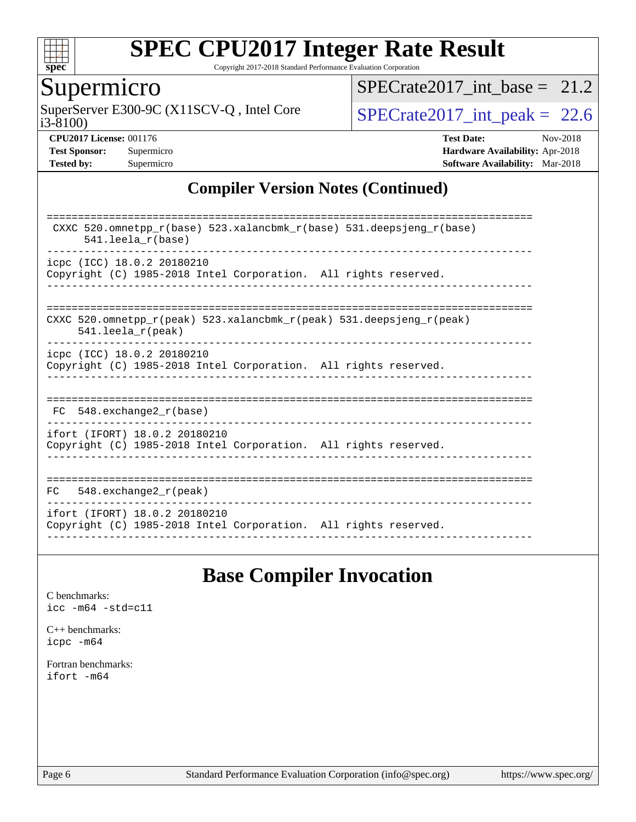

Copyright 2017-2018 Standard Performance Evaluation Corporation

## Supermicro

i3-8100) SuperServer E300-9C (X11SCV-Q, Intel Core  $SPECrate2017\_int\_peak = 22.6$ 

SPECrate2017 int\_base =  $21.2$ 

**[CPU2017 License:](http://www.spec.org/auto/cpu2017/Docs/result-fields.html#CPU2017License)** 001176 **[Test Date:](http://www.spec.org/auto/cpu2017/Docs/result-fields.html#TestDate)** Nov-2018 **[Test Sponsor:](http://www.spec.org/auto/cpu2017/Docs/result-fields.html#TestSponsor)** Supermicro **[Hardware Availability:](http://www.spec.org/auto/cpu2017/Docs/result-fields.html#HardwareAvailability)** Apr-2018 **[Tested by:](http://www.spec.org/auto/cpu2017/Docs/result-fields.html#Testedby)** Supermicro **[Software Availability:](http://www.spec.org/auto/cpu2017/Docs/result-fields.html#SoftwareAvailability)** Mar-2018

#### **[Compiler Version Notes \(Continued\)](http://www.spec.org/auto/cpu2017/Docs/result-fields.html#CompilerVersionNotes)**

| CXXC 520.omnetpp $r(base)$ 523.xalancbmk $r(base)$ 531.deepsjeng $r(base)$<br>$541.$ leela $r(base)$ |
|------------------------------------------------------------------------------------------------------|
| icpc (ICC) 18.0.2 20180210                                                                           |
|                                                                                                      |
| Copyright (C) 1985-2018 Intel Corporation. All rights reserved.                                      |
|                                                                                                      |
| CXXC 520.omnetpp $r(\text{peak})$ 523.xalancbmk $r(\text{peak})$ 531.deepsjeng $r(\text{peak})$      |
| $541.$ leela $r$ (peak)                                                                              |
| icpc (ICC) 18.0.2 20180210                                                                           |
|                                                                                                      |
| Copyright (C) 1985-2018 Intel Corporation. All rights reserved.                                      |
|                                                                                                      |
|                                                                                                      |
| $FC$ 548. exchange 2 $r(base)$                                                                       |
|                                                                                                      |
| ifort (IFORT) 18.0.2 20180210                                                                        |
| Copyright (C) 1985-2018 Intel Corporation. All rights reserved.                                      |
|                                                                                                      |
|                                                                                                      |
|                                                                                                      |
| $548$ . exchange $2\_r$ (peak)<br>FC.                                                                |
|                                                                                                      |
| ifort (IFORT) 18.0.2 20180210                                                                        |
| Copyright (C) 1985-2018 Intel Corporation. All rights reserved.                                      |
|                                                                                                      |

## **[Base Compiler Invocation](http://www.spec.org/auto/cpu2017/Docs/result-fields.html#BaseCompilerInvocation)**

[C benchmarks](http://www.spec.org/auto/cpu2017/Docs/result-fields.html#Cbenchmarks): [icc -m64 -std=c11](http://www.spec.org/cpu2017/results/res2018q4/cpu2017-20181210-10163.flags.html#user_CCbase_intel_icc_64bit_c11_33ee0cdaae7deeeab2a9725423ba97205ce30f63b9926c2519791662299b76a0318f32ddfffdc46587804de3178b4f9328c46fa7c2b0cd779d7a61945c91cd35)

[C++ benchmarks:](http://www.spec.org/auto/cpu2017/Docs/result-fields.html#CXXbenchmarks) [icpc -m64](http://www.spec.org/cpu2017/results/res2018q4/cpu2017-20181210-10163.flags.html#user_CXXbase_intel_icpc_64bit_4ecb2543ae3f1412ef961e0650ca070fec7b7afdcd6ed48761b84423119d1bf6bdf5cad15b44d48e7256388bc77273b966e5eb805aefd121eb22e9299b2ec9d9)

[Fortran benchmarks](http://www.spec.org/auto/cpu2017/Docs/result-fields.html#Fortranbenchmarks): [ifort -m64](http://www.spec.org/cpu2017/results/res2018q4/cpu2017-20181210-10163.flags.html#user_FCbase_intel_ifort_64bit_24f2bb282fbaeffd6157abe4f878425411749daecae9a33200eee2bee2fe76f3b89351d69a8130dd5949958ce389cf37ff59a95e7a40d588e8d3a57e0c3fd751)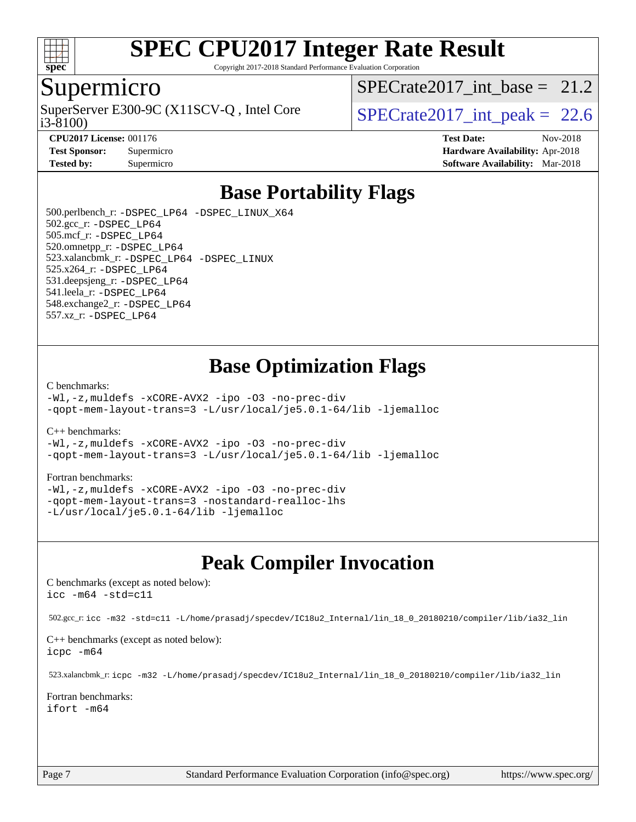

Copyright 2017-2018 Standard Performance Evaluation Corporation

#### Supermicro

i3-8100) SuperServer E300-9C (X11SCV-Q, Intel Core  $\vert$  SPECrate2017 int peak = 22.6

SPECrate2017 int\_base =  $21.2$ 

**[CPU2017 License:](http://www.spec.org/auto/cpu2017/Docs/result-fields.html#CPU2017License)** 001176 **[Test Date:](http://www.spec.org/auto/cpu2017/Docs/result-fields.html#TestDate)** Nov-2018 **[Test Sponsor:](http://www.spec.org/auto/cpu2017/Docs/result-fields.html#TestSponsor)** Supermicro **[Hardware Availability:](http://www.spec.org/auto/cpu2017/Docs/result-fields.html#HardwareAvailability)** Apr-2018 **[Tested by:](http://www.spec.org/auto/cpu2017/Docs/result-fields.html#Testedby)** Supermicro **[Software Availability:](http://www.spec.org/auto/cpu2017/Docs/result-fields.html#SoftwareAvailability)** Mar-2018

## **[Base Portability Flags](http://www.spec.org/auto/cpu2017/Docs/result-fields.html#BasePortabilityFlags)**

 500.perlbench\_r: [-DSPEC\\_LP64](http://www.spec.org/cpu2017/results/res2018q4/cpu2017-20181210-10163.flags.html#b500.perlbench_r_basePORTABILITY_DSPEC_LP64) [-DSPEC\\_LINUX\\_X64](http://www.spec.org/cpu2017/results/res2018q4/cpu2017-20181210-10163.flags.html#b500.perlbench_r_baseCPORTABILITY_DSPEC_LINUX_X64) 502.gcc\_r: [-DSPEC\\_LP64](http://www.spec.org/cpu2017/results/res2018q4/cpu2017-20181210-10163.flags.html#suite_basePORTABILITY502_gcc_r_DSPEC_LP64) 505.mcf\_r: [-DSPEC\\_LP64](http://www.spec.org/cpu2017/results/res2018q4/cpu2017-20181210-10163.flags.html#suite_basePORTABILITY505_mcf_r_DSPEC_LP64) 520.omnetpp\_r: [-DSPEC\\_LP64](http://www.spec.org/cpu2017/results/res2018q4/cpu2017-20181210-10163.flags.html#suite_basePORTABILITY520_omnetpp_r_DSPEC_LP64) 523.xalancbmk\_r: [-DSPEC\\_LP64](http://www.spec.org/cpu2017/results/res2018q4/cpu2017-20181210-10163.flags.html#suite_basePORTABILITY523_xalancbmk_r_DSPEC_LP64) [-DSPEC\\_LINUX](http://www.spec.org/cpu2017/results/res2018q4/cpu2017-20181210-10163.flags.html#b523.xalancbmk_r_baseCXXPORTABILITY_DSPEC_LINUX) 525.x264\_r: [-DSPEC\\_LP64](http://www.spec.org/cpu2017/results/res2018q4/cpu2017-20181210-10163.flags.html#suite_basePORTABILITY525_x264_r_DSPEC_LP64) 531.deepsjeng\_r: [-DSPEC\\_LP64](http://www.spec.org/cpu2017/results/res2018q4/cpu2017-20181210-10163.flags.html#suite_basePORTABILITY531_deepsjeng_r_DSPEC_LP64) 541.leela\_r: [-DSPEC\\_LP64](http://www.spec.org/cpu2017/results/res2018q4/cpu2017-20181210-10163.flags.html#suite_basePORTABILITY541_leela_r_DSPEC_LP64) 548.exchange2\_r: [-DSPEC\\_LP64](http://www.spec.org/cpu2017/results/res2018q4/cpu2017-20181210-10163.flags.html#suite_basePORTABILITY548_exchange2_r_DSPEC_LP64) 557.xz\_r: [-DSPEC\\_LP64](http://www.spec.org/cpu2017/results/res2018q4/cpu2017-20181210-10163.flags.html#suite_basePORTABILITY557_xz_r_DSPEC_LP64)

## **[Base Optimization Flags](http://www.spec.org/auto/cpu2017/Docs/result-fields.html#BaseOptimizationFlags)**

#### [C benchmarks](http://www.spec.org/auto/cpu2017/Docs/result-fields.html#Cbenchmarks):

[-Wl,-z,muldefs](http://www.spec.org/cpu2017/results/res2018q4/cpu2017-20181210-10163.flags.html#user_CCbase_link_force_multiple1_b4cbdb97b34bdee9ceefcfe54f4c8ea74255f0b02a4b23e853cdb0e18eb4525ac79b5a88067c842dd0ee6996c24547a27a4b99331201badda8798ef8a743f577) [-xCORE-AVX2](http://www.spec.org/cpu2017/results/res2018q4/cpu2017-20181210-10163.flags.html#user_CCbase_f-xCORE-AVX2) [-ipo](http://www.spec.org/cpu2017/results/res2018q4/cpu2017-20181210-10163.flags.html#user_CCbase_f-ipo) [-O3](http://www.spec.org/cpu2017/results/res2018q4/cpu2017-20181210-10163.flags.html#user_CCbase_f-O3) [-no-prec-div](http://www.spec.org/cpu2017/results/res2018q4/cpu2017-20181210-10163.flags.html#user_CCbase_f-no-prec-div) [-qopt-mem-layout-trans=3](http://www.spec.org/cpu2017/results/res2018q4/cpu2017-20181210-10163.flags.html#user_CCbase_f-qopt-mem-layout-trans_de80db37974c74b1f0e20d883f0b675c88c3b01e9d123adea9b28688d64333345fb62bc4a798493513fdb68f60282f9a726aa07f478b2f7113531aecce732043) [-L/usr/local/je5.0.1-64/lib](http://www.spec.org/cpu2017/results/res2018q4/cpu2017-20181210-10163.flags.html#user_CCbase_jemalloc_link_path64_4b10a636b7bce113509b17f3bd0d6226c5fb2346b9178c2d0232c14f04ab830f976640479e5c33dc2bcbbdad86ecfb6634cbbd4418746f06f368b512fced5394) [-ljemalloc](http://www.spec.org/cpu2017/results/res2018q4/cpu2017-20181210-10163.flags.html#user_CCbase_jemalloc_link_lib_d1249b907c500fa1c0672f44f562e3d0f79738ae9e3c4a9c376d49f265a04b9c99b167ecedbf6711b3085be911c67ff61f150a17b3472be731631ba4d0471706)

#### [C++ benchmarks:](http://www.spec.org/auto/cpu2017/Docs/result-fields.html#CXXbenchmarks)

[-Wl,-z,muldefs](http://www.spec.org/cpu2017/results/res2018q4/cpu2017-20181210-10163.flags.html#user_CXXbase_link_force_multiple1_b4cbdb97b34bdee9ceefcfe54f4c8ea74255f0b02a4b23e853cdb0e18eb4525ac79b5a88067c842dd0ee6996c24547a27a4b99331201badda8798ef8a743f577) [-xCORE-AVX2](http://www.spec.org/cpu2017/results/res2018q4/cpu2017-20181210-10163.flags.html#user_CXXbase_f-xCORE-AVX2) [-ipo](http://www.spec.org/cpu2017/results/res2018q4/cpu2017-20181210-10163.flags.html#user_CXXbase_f-ipo) [-O3](http://www.spec.org/cpu2017/results/res2018q4/cpu2017-20181210-10163.flags.html#user_CXXbase_f-O3) [-no-prec-div](http://www.spec.org/cpu2017/results/res2018q4/cpu2017-20181210-10163.flags.html#user_CXXbase_f-no-prec-div) [-qopt-mem-layout-trans=3](http://www.spec.org/cpu2017/results/res2018q4/cpu2017-20181210-10163.flags.html#user_CXXbase_f-qopt-mem-layout-trans_de80db37974c74b1f0e20d883f0b675c88c3b01e9d123adea9b28688d64333345fb62bc4a798493513fdb68f60282f9a726aa07f478b2f7113531aecce732043) [-L/usr/local/je5.0.1-64/lib](http://www.spec.org/cpu2017/results/res2018q4/cpu2017-20181210-10163.flags.html#user_CXXbase_jemalloc_link_path64_4b10a636b7bce113509b17f3bd0d6226c5fb2346b9178c2d0232c14f04ab830f976640479e5c33dc2bcbbdad86ecfb6634cbbd4418746f06f368b512fced5394) [-ljemalloc](http://www.spec.org/cpu2017/results/res2018q4/cpu2017-20181210-10163.flags.html#user_CXXbase_jemalloc_link_lib_d1249b907c500fa1c0672f44f562e3d0f79738ae9e3c4a9c376d49f265a04b9c99b167ecedbf6711b3085be911c67ff61f150a17b3472be731631ba4d0471706)

#### [Fortran benchmarks](http://www.spec.org/auto/cpu2017/Docs/result-fields.html#Fortranbenchmarks):

[-Wl,-z,muldefs](http://www.spec.org/cpu2017/results/res2018q4/cpu2017-20181210-10163.flags.html#user_FCbase_link_force_multiple1_b4cbdb97b34bdee9ceefcfe54f4c8ea74255f0b02a4b23e853cdb0e18eb4525ac79b5a88067c842dd0ee6996c24547a27a4b99331201badda8798ef8a743f577) [-xCORE-AVX2](http://www.spec.org/cpu2017/results/res2018q4/cpu2017-20181210-10163.flags.html#user_FCbase_f-xCORE-AVX2) [-ipo](http://www.spec.org/cpu2017/results/res2018q4/cpu2017-20181210-10163.flags.html#user_FCbase_f-ipo) [-O3](http://www.spec.org/cpu2017/results/res2018q4/cpu2017-20181210-10163.flags.html#user_FCbase_f-O3) [-no-prec-div](http://www.spec.org/cpu2017/results/res2018q4/cpu2017-20181210-10163.flags.html#user_FCbase_f-no-prec-div) [-qopt-mem-layout-trans=3](http://www.spec.org/cpu2017/results/res2018q4/cpu2017-20181210-10163.flags.html#user_FCbase_f-qopt-mem-layout-trans_de80db37974c74b1f0e20d883f0b675c88c3b01e9d123adea9b28688d64333345fb62bc4a798493513fdb68f60282f9a726aa07f478b2f7113531aecce732043) [-nostandard-realloc-lhs](http://www.spec.org/cpu2017/results/res2018q4/cpu2017-20181210-10163.flags.html#user_FCbase_f_2003_std_realloc_82b4557e90729c0f113870c07e44d33d6f5a304b4f63d4c15d2d0f1fab99f5daaed73bdb9275d9ae411527f28b936061aa8b9c8f2d63842963b95c9dd6426b8a) [-L/usr/local/je5.0.1-64/lib](http://www.spec.org/cpu2017/results/res2018q4/cpu2017-20181210-10163.flags.html#user_FCbase_jemalloc_link_path64_4b10a636b7bce113509b17f3bd0d6226c5fb2346b9178c2d0232c14f04ab830f976640479e5c33dc2bcbbdad86ecfb6634cbbd4418746f06f368b512fced5394) [-ljemalloc](http://www.spec.org/cpu2017/results/res2018q4/cpu2017-20181210-10163.flags.html#user_FCbase_jemalloc_link_lib_d1249b907c500fa1c0672f44f562e3d0f79738ae9e3c4a9c376d49f265a04b9c99b167ecedbf6711b3085be911c67ff61f150a17b3472be731631ba4d0471706)

## **[Peak Compiler Invocation](http://www.spec.org/auto/cpu2017/Docs/result-fields.html#PeakCompilerInvocation)**

[C benchmarks \(except as noted below\)](http://www.spec.org/auto/cpu2017/Docs/result-fields.html#Cbenchmarksexceptasnotedbelow): [icc -m64 -std=c11](http://www.spec.org/cpu2017/results/res2018q4/cpu2017-20181210-10163.flags.html#user_CCpeak_intel_icc_64bit_c11_33ee0cdaae7deeeab2a9725423ba97205ce30f63b9926c2519791662299b76a0318f32ddfffdc46587804de3178b4f9328c46fa7c2b0cd779d7a61945c91cd35)

502.gcc\_r: [icc -m32 -std=c11 -L/home/prasadj/specdev/IC18u2\\_Internal/lin\\_18\\_0\\_20180210/compiler/lib/ia32\\_lin](http://www.spec.org/cpu2017/results/res2018q4/cpu2017-20181210-10163.flags.html#user_peakCCLD502_gcc_r_intel_icc_a481ac844e7127046fad14d498c730a1848fa901fbbb2c3dfdd5e9fbbac777c8009953946d55d8b6afe8ed0da70dd2b4f8dedbdf7ab1ee211ba70d24a5d89f85)

[C++ benchmarks \(except as noted below\):](http://www.spec.org/auto/cpu2017/Docs/result-fields.html#CXXbenchmarksexceptasnotedbelow) [icpc -m64](http://www.spec.org/cpu2017/results/res2018q4/cpu2017-20181210-10163.flags.html#user_CXXpeak_intel_icpc_64bit_4ecb2543ae3f1412ef961e0650ca070fec7b7afdcd6ed48761b84423119d1bf6bdf5cad15b44d48e7256388bc77273b966e5eb805aefd121eb22e9299b2ec9d9)

523.xalancbmk\_r: [icpc -m32 -L/home/prasadj/specdev/IC18u2\\_Internal/lin\\_18\\_0\\_20180210/compiler/lib/ia32\\_lin](http://www.spec.org/cpu2017/results/res2018q4/cpu2017-20181210-10163.flags.html#user_peakCXXLD523_xalancbmk_r_intel_icpc_c6d030cd79af6ea7d6fb64c57e8fe7ae8fe0b96fc5a3b3f4a10e3273b3d7fa9decd8263f6330cef23f751cb093a69fae84a2bf4c243500a8eed069248128076f)

[Fortran benchmarks](http://www.spec.org/auto/cpu2017/Docs/result-fields.html#Fortranbenchmarks): [ifort -m64](http://www.spec.org/cpu2017/results/res2018q4/cpu2017-20181210-10163.flags.html#user_FCpeak_intel_ifort_64bit_24f2bb282fbaeffd6157abe4f878425411749daecae9a33200eee2bee2fe76f3b89351d69a8130dd5949958ce389cf37ff59a95e7a40d588e8d3a57e0c3fd751)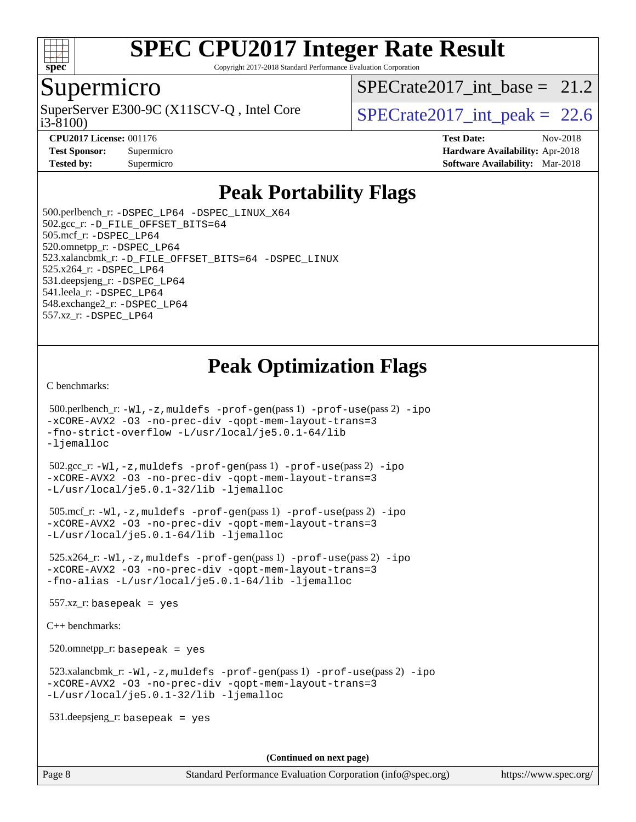

Copyright 2017-2018 Standard Performance Evaluation Corporation

#### Supermicro

i3-8100) SuperServer E300-9C (X11SCV-Q, Intel Core  $\vert$  SPECrate2017 int peak = 22.6

SPECrate2017 int\_base =  $21.2$ 

**[CPU2017 License:](http://www.spec.org/auto/cpu2017/Docs/result-fields.html#CPU2017License)** 001176 **[Test Date:](http://www.spec.org/auto/cpu2017/Docs/result-fields.html#TestDate)** Nov-2018 **[Test Sponsor:](http://www.spec.org/auto/cpu2017/Docs/result-fields.html#TestSponsor)** Supermicro **[Hardware Availability:](http://www.spec.org/auto/cpu2017/Docs/result-fields.html#HardwareAvailability)** Apr-2018 **[Tested by:](http://www.spec.org/auto/cpu2017/Docs/result-fields.html#Testedby)** Supermicro **Supermicro [Software Availability:](http://www.spec.org/auto/cpu2017/Docs/result-fields.html#SoftwareAvailability)** Mar-2018

## **[Peak Portability Flags](http://www.spec.org/auto/cpu2017/Docs/result-fields.html#PeakPortabilityFlags)**

 500.perlbench\_r: [-DSPEC\\_LP64](http://www.spec.org/cpu2017/results/res2018q4/cpu2017-20181210-10163.flags.html#b500.perlbench_r_peakPORTABILITY_DSPEC_LP64) [-DSPEC\\_LINUX\\_X64](http://www.spec.org/cpu2017/results/res2018q4/cpu2017-20181210-10163.flags.html#b500.perlbench_r_peakCPORTABILITY_DSPEC_LINUX_X64) 502.gcc\_r: [-D\\_FILE\\_OFFSET\\_BITS=64](http://www.spec.org/cpu2017/results/res2018q4/cpu2017-20181210-10163.flags.html#user_peakPORTABILITY502_gcc_r_file_offset_bits_64_5ae949a99b284ddf4e95728d47cb0843d81b2eb0e18bdfe74bbf0f61d0b064f4bda2f10ea5eb90e1dcab0e84dbc592acfc5018bc955c18609f94ddb8d550002c) 505.mcf\_r: [-DSPEC\\_LP64](http://www.spec.org/cpu2017/results/res2018q4/cpu2017-20181210-10163.flags.html#suite_peakPORTABILITY505_mcf_r_DSPEC_LP64) 520.omnetpp\_r: [-DSPEC\\_LP64](http://www.spec.org/cpu2017/results/res2018q4/cpu2017-20181210-10163.flags.html#suite_peakPORTABILITY520_omnetpp_r_DSPEC_LP64) 523.xalancbmk\_r: [-D\\_FILE\\_OFFSET\\_BITS=64](http://www.spec.org/cpu2017/results/res2018q4/cpu2017-20181210-10163.flags.html#user_peakPORTABILITY523_xalancbmk_r_file_offset_bits_64_5ae949a99b284ddf4e95728d47cb0843d81b2eb0e18bdfe74bbf0f61d0b064f4bda2f10ea5eb90e1dcab0e84dbc592acfc5018bc955c18609f94ddb8d550002c) [-DSPEC\\_LINUX](http://www.spec.org/cpu2017/results/res2018q4/cpu2017-20181210-10163.flags.html#b523.xalancbmk_r_peakCXXPORTABILITY_DSPEC_LINUX) 525.x264\_r: [-DSPEC\\_LP64](http://www.spec.org/cpu2017/results/res2018q4/cpu2017-20181210-10163.flags.html#suite_peakPORTABILITY525_x264_r_DSPEC_LP64) 531.deepsjeng\_r: [-DSPEC\\_LP64](http://www.spec.org/cpu2017/results/res2018q4/cpu2017-20181210-10163.flags.html#suite_peakPORTABILITY531_deepsjeng_r_DSPEC_LP64) 541.leela\_r: [-DSPEC\\_LP64](http://www.spec.org/cpu2017/results/res2018q4/cpu2017-20181210-10163.flags.html#suite_peakPORTABILITY541_leela_r_DSPEC_LP64) 548.exchange2\_r: [-DSPEC\\_LP64](http://www.spec.org/cpu2017/results/res2018q4/cpu2017-20181210-10163.flags.html#suite_peakPORTABILITY548_exchange2_r_DSPEC_LP64) 557.xz\_r: [-DSPEC\\_LP64](http://www.spec.org/cpu2017/results/res2018q4/cpu2017-20181210-10163.flags.html#suite_peakPORTABILITY557_xz_r_DSPEC_LP64)

## **[Peak Optimization Flags](http://www.spec.org/auto/cpu2017/Docs/result-fields.html#PeakOptimizationFlags)**

[C benchmarks](http://www.spec.org/auto/cpu2017/Docs/result-fields.html#Cbenchmarks):

```
 500.perlbench_r: -Wl,-z,muldefs -prof-gen(pass 1) -prof-use(pass 2) -ipo
-xCORE-AVX2 -O3 -no-prec-div -qopt-mem-layout-trans=3
-fno-strict-overflow -L/usr/local/je5.0.1-64/lib
-ljemalloc
 502.gcc_r: -Wl,-z,muldefs -prof-gen(pass 1) -prof-use(pass 2) -ipo
-xCORE-AVX2 -O3 -no-prec-div -qopt-mem-layout-trans=3
-L/usr/local/je5.0.1-32/lib -ljemalloc
 505.mcf_r: -Wl,-z,muldefs -prof-gen(pass 1) -prof-use(pass 2) -ipo
-xCORE-AVX2 -O3 -no-prec-div -qopt-mem-layout-trans=3
-L/usr/local/je5.0.1-64/lib -ljemalloc
 525.x264_r: -Wl,-z,muldefs -prof-gen(pass 1) -prof-use(pass 2) -ipo
-xCORE-AVX2 -O3 -no-prec-div -qopt-mem-layout-trans=3
-fno-alias -L/usr/local/je5.0.1-64/lib -ljemalloc
 557.xz_r: basepeak = yes
C++ benchmarks: 
 520.omnetpp_r: basepeak = yes
 523.xalancbmk_r: -Wl,-z,muldefs -prof-gen(pass 1) -prof-use(pass 2) -ipo
-xCORE-AVX2 -O3 -no-prec-div -qopt-mem-layout-trans=3
-L/usr/local/je5.0.1-32/lib -ljemalloc
 531.deepsjeng_r: basepeak = yes
                                       (Continued on next page)
```